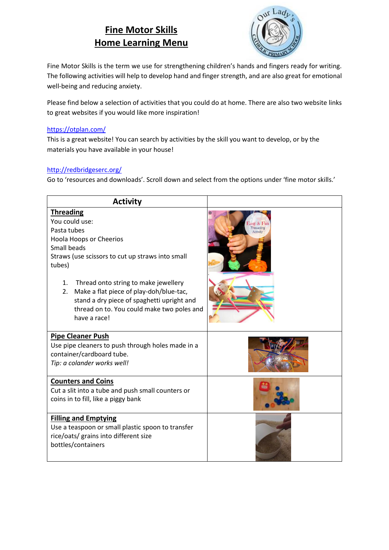# **Fine Motor Skills Home Learning Menu**



Fine Motor Skills is the term we use for strengthening children's hands and fingers ready for writing. The following activities will help to develop hand and finger strength, and are also great for emotional well-being and reducing anxiety.

Please find below a selection of activities that you could do at home. There are also two website links to great websites if you would like more inspiration!

#### <https://otplan.com/>

This is a great website! You can search by activities by the skill you want to develop, or by the materials you have available in your house!

### <http://redbridgeserc.org/>

Go to 'resources and downloads'. Scroll down and select from the options under 'fine motor skills.'

| <b>Activity</b>                                                                                                                                                                                         |                                    |
|---------------------------------------------------------------------------------------------------------------------------------------------------------------------------------------------------------|------------------------------------|
| <b>Threading</b><br>You could use:<br>Pasta tubes<br>Hoola Hoops or Cheerios<br>Small beads<br>Straws (use scissors to cut up straws into small<br>tubes)                                               | lasy & Fi<br>Threading<br>Activity |
| 1.<br>Thread onto string to make jewellery<br>Make a flat piece of play-doh/blue-tac,<br>2.<br>stand a dry piece of spaghetti upright and<br>thread on to. You could make two poles and<br>have a race! |                                    |
| <b>Pipe Cleaner Push</b><br>Use pipe cleaners to push through holes made in a<br>container/cardboard tube.<br>Tip: a colander works well!                                                               |                                    |
| <b>Counters and Coins</b><br>Cut a slit into a tube and push small counters or<br>coins in to fill, like a piggy bank                                                                                   |                                    |
| <b>Filling and Emptying</b><br>Use a teaspoon or small plastic spoon to transfer<br>rice/oats/ grains into different size<br>bottles/containers                                                         |                                    |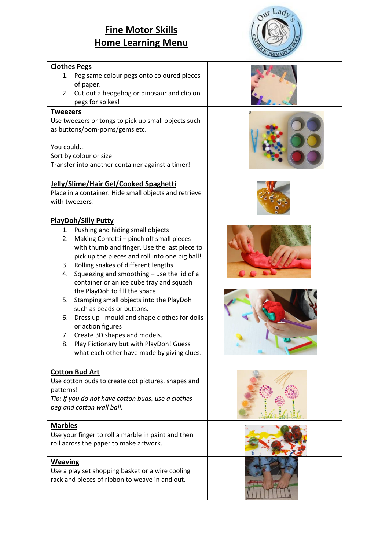# **Fine Motor Skills Home Learning Menu**



|                                                                                                                                                                                                                                                                                                                                                                                                                                                                                                                                                                                                                                                             | чимы |
|-------------------------------------------------------------------------------------------------------------------------------------------------------------------------------------------------------------------------------------------------------------------------------------------------------------------------------------------------------------------------------------------------------------------------------------------------------------------------------------------------------------------------------------------------------------------------------------------------------------------------------------------------------------|------|
| <b>Clothes Pegs</b>                                                                                                                                                                                                                                                                                                                                                                                                                                                                                                                                                                                                                                         |      |
| 1. Peg same colour pegs onto coloured pieces<br>of paper.<br>2. Cut out a hedgehog or dinosaur and clip on<br>pegs for spikes!                                                                                                                                                                                                                                                                                                                                                                                                                                                                                                                              |      |
| <b>Tweezers</b>                                                                                                                                                                                                                                                                                                                                                                                                                                                                                                                                                                                                                                             |      |
| Use tweezers or tongs to pick up small objects such<br>as buttons/pom-poms/gems etc.<br>You could<br>Sort by colour or size<br>Transfer into another container against a timer!                                                                                                                                                                                                                                                                                                                                                                                                                                                                             |      |
| Jelly/Slime/Hair Gel/Cooked Spaghetti                                                                                                                                                                                                                                                                                                                                                                                                                                                                                                                                                                                                                       |      |
| Place in a container. Hide small objects and retrieve<br>with tweezers!                                                                                                                                                                                                                                                                                                                                                                                                                                                                                                                                                                                     |      |
| <b>PlayDoh/Silly Putty</b>                                                                                                                                                                                                                                                                                                                                                                                                                                                                                                                                                                                                                                  |      |
| 1. Pushing and hiding small objects<br>Making Confetti - pinch off small pieces<br>2.<br>with thumb and finger. Use the last piece to<br>pick up the pieces and roll into one big ball!<br>3. Rolling snakes of different lengths<br>Squeezing and smoothing - use the lid of a<br>4.<br>container or an ice cube tray and squash<br>the PlayDoh to fill the space.<br>Stamping small objects into the PlayDoh<br>5.<br>such as beads or buttons.<br>6. Dress up - mould and shape clothes for dolls<br>or action figures<br>7. Create 3D shapes and models.<br>Play Pictionary but with PlayDoh! Guess<br>8.<br>what each other have made by giving clues. |      |
| <b>Cotton Bud Art</b><br>Use cotton buds to create dot pictures, shapes and<br>patterns!<br>Tip: if you do not have cotton buds, use a clothes<br>peg and cotton wall ball.                                                                                                                                                                                                                                                                                                                                                                                                                                                                                 |      |
| <b>Marbles</b>                                                                                                                                                                                                                                                                                                                                                                                                                                                                                                                                                                                                                                              |      |
| Use your finger to roll a marble in paint and then<br>roll across the paper to make artwork.                                                                                                                                                                                                                                                                                                                                                                                                                                                                                                                                                                |      |
| <b>Weaving</b>                                                                                                                                                                                                                                                                                                                                                                                                                                                                                                                                                                                                                                              |      |
| Use a play set shopping basket or a wire cooling<br>rack and pieces of ribbon to weave in and out.                                                                                                                                                                                                                                                                                                                                                                                                                                                                                                                                                          |      |